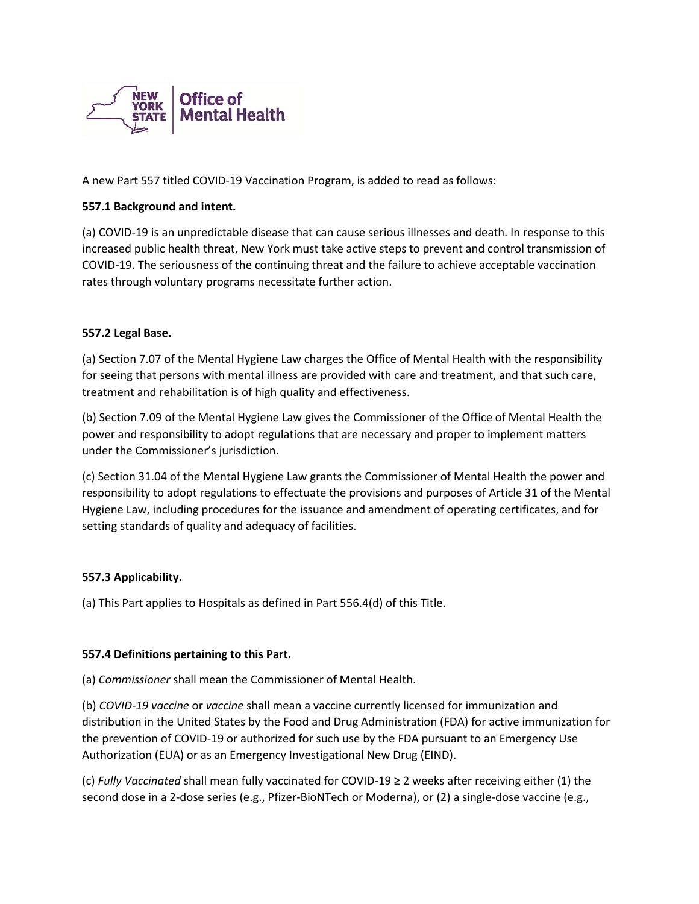

A new Part 557 titled COVID-19 Vaccination Program, is added to read as follows:

## **557.1 Background and intent.**

(a) COVID-19 is an unpredictable disease that can cause serious illnesses and death. In response to this increased public health threat, New York must take active steps to prevent and control transmission of COVID-19. The seriousness of the continuing threat and the failure to achieve acceptable vaccination rates through voluntary programs necessitate further action.

### **557.2 Legal Base.**

(a) Section 7.07 of the Mental Hygiene Law charges the Office of Mental Health with the responsibility for seeing that persons with mental illness are provided with care and treatment, and that such care, treatment and rehabilitation is of high quality and effectiveness.

(b) Section 7.09 of the Mental Hygiene Law gives the Commissioner of the Office of Mental Health the power and responsibility to adopt regulations that are necessary and proper to implement matters under the Commissioner's jurisdiction.

(c) Section 31.04 of the Mental Hygiene Law grants the Commissioner of Mental Health the power and responsibility to adopt regulations to effectuate the provisions and purposes of Article 31 of the Mental Hygiene Law, including procedures for the issuance and amendment of operating certificates, and for setting standards of quality and adequacy of facilities.

### **557.3 Applicability.**

(a) This Part applies to Hospitals as defined in Part 556.4(d) of this Title.

### **557.4 Definitions pertaining to this Part.**

(a) *Commissioner* shall mean the Commissioner of Mental Health.

(b) *COVID-19 vaccine* or *vaccine* shall mean a vaccine currently licensed for immunization and distribution in the United States by the Food and Drug Administration (FDA) for active immunization for the prevention of COVID-19 or authorized for such use by the FDA pursuant to an Emergency Use Authorization (EUA) or as an Emergency Investigational New Drug (EIND).

(c) *Fully Vaccinated* shall mean fully vaccinated for COVID-19 ≥ 2 weeks after receiving either (1) the second dose in a 2-dose series (e.g., Pfizer-BioNTech or Moderna), or (2) a single-dose vaccine (e.g.,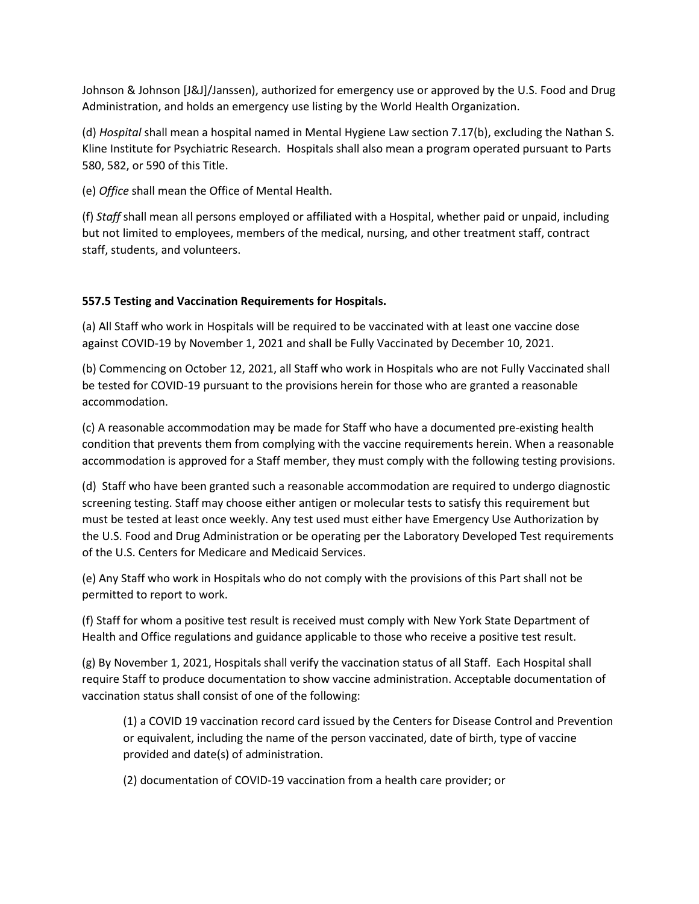Johnson & Johnson [J&J]/Janssen), authorized for emergency use or approved by the U.S. Food and Drug Administration, and holds an emergency use listing by the World Health Organization.

(d) *Hospital* shall mean a hospital named in Mental Hygiene Law section 7.17(b), excluding the Nathan S. Kline Institute for Psychiatric Research. Hospitals shall also mean a program operated pursuant to Parts 580, 582, or 590 of this Title.

(e) *Office* shall mean the Office of Mental Health.

(f) *Staff* shall mean all persons employed or affiliated with a Hospital, whether paid or unpaid, including but not limited to employees, members of the medical, nursing, and other treatment staff, contract staff, students, and volunteers.

## **557.5 Testing and Vaccination Requirements for Hospitals.**

(a) All Staff who work in Hospitals will be required to be vaccinated with at least one vaccine dose against COVID-19 by November 1, 2021 and shall be Fully Vaccinated by December 10, 2021.

(b) Commencing on October 12, 2021, all Staff who work in Hospitals who are not Fully Vaccinated shall be tested for COVID-19 pursuant to the provisions herein for those who are granted a reasonable accommodation.

(c) A reasonable accommodation may be made for Staff who have a documented pre-existing health condition that prevents them from complying with the vaccine requirements herein. When a reasonable accommodation is approved for a Staff member, they must comply with the following testing provisions.

(d) Staff who have been granted such a reasonable accommodation are required to undergo diagnostic screening testing. Staff may choose either antigen or molecular tests to satisfy this requirement but must be tested at least once weekly. Any test used must either have Emergency Use Authorization by the U.S. Food and Drug Administration or be operating per the Laboratory Developed Test requirements of the U.S. Centers for Medicare and Medicaid Services.

(e) Any Staff who work in Hospitals who do not comply with the provisions of this Part shall not be permitted to report to work.

(f) Staff for whom a positive test result is received must comply with New York State Department of Health and Office regulations and guidance applicable to those who receive a positive test result.

(g) By November 1, 2021, Hospitals shall verify the vaccination status of all Staff. Each Hospital shall require Staff to produce documentation to show vaccine administration. Acceptable documentation of vaccination status shall consist of one of the following:

(1) a COVID 19 vaccination record card issued by the Centers for Disease Control and Prevention or equivalent, including the name of the person vaccinated, date of birth, type of vaccine provided and date(s) of administration.

(2) documentation of COVID-19 vaccination from a health care provider; or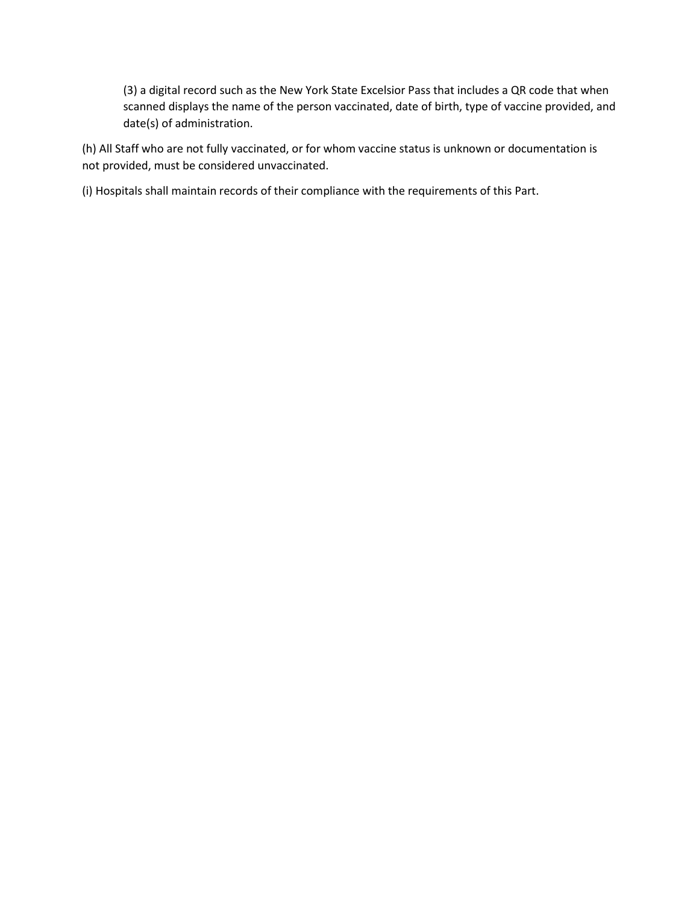(3) a digital record such as the New York State Excelsior Pass that includes a QR code that when scanned displays the name of the person vaccinated, date of birth, type of vaccine provided, and date(s) of administration.

(h) All Staff who are not fully vaccinated, or for whom vaccine status is unknown or documentation is not provided, must be considered unvaccinated.

(i) Hospitals shall maintain records of their compliance with the requirements of this Part.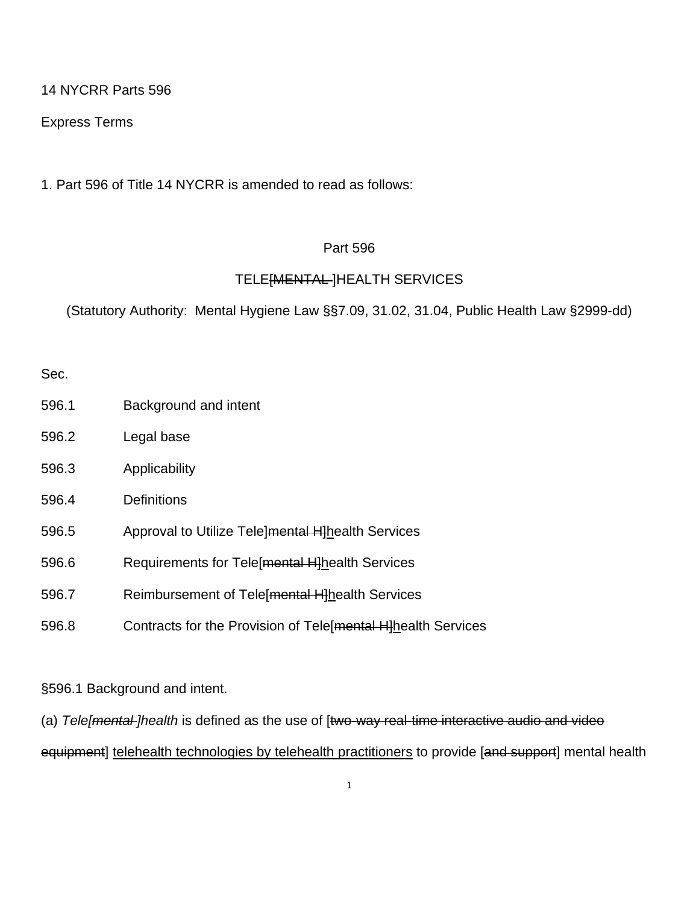14 NYCRR Parts 596

Express Terms

1. Part 596 of Title 14 NYCRR is amended to read as follows:

# Part 596

# TELE[MENTAL ]HEALTH SERVICES

(Statutory Authority: Mental Hygiene Law §§7.09, 31.02, 31.04, Public Health Law §2999-dd)

Sec.

- 596.1 Background and intent
- 596.2 Legal base
- 596.3 Applicability
- 596.4 Definitions
- 596.5 Approval to Utilize Tele]mental H]health Services
- 596.6 Requirements for Tele[mental H]health Services
- 596.7 Reimbursement of Tele[mental H]health Services
- 596.8 Contracts for the Provision of Tele[mental H]health Services

§596.1 Background and intent.

(a) *Tele[mental ]health* is defined as the use of [two-way real-time interactive audio and video

equipment] telehealth technologies by telehealth practitioners to provide [and support] mental health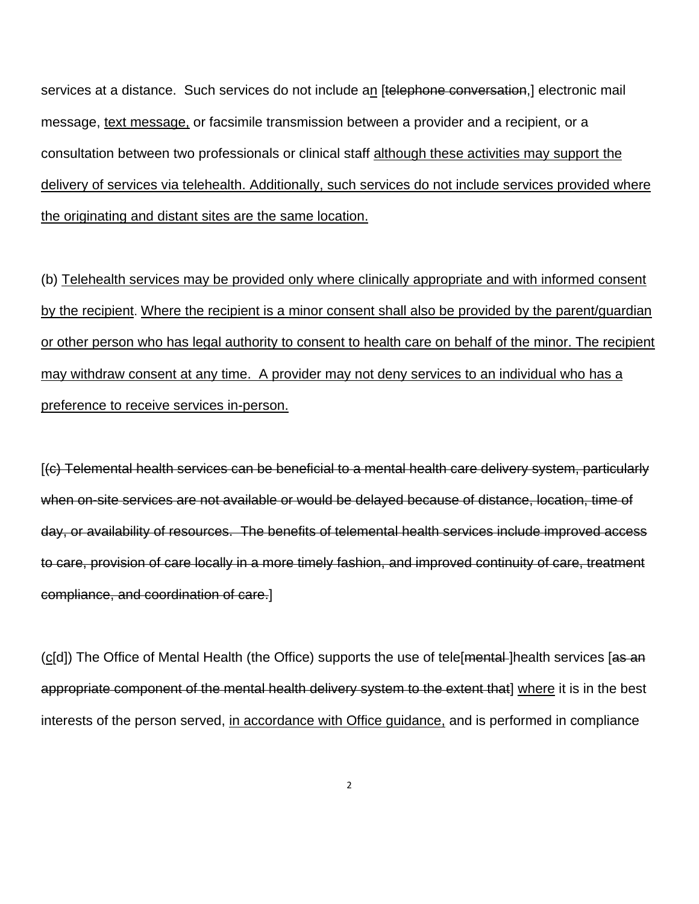services at a distance. Such services do not include an [telephone conversation,] electronic mail message, text message, or facsimile transmission between a provider and a recipient, or a consultation between two professionals or clinical staff although these activities may support the delivery of services via telehealth. Additionally, such services do not include services provided where the originating and distant sites are the same location.

(b) Telehealth services may be provided only where clinically appropriate and with informed consent by the recipient. Where the recipient is a minor consent shall also be provided by the parent/guardian or other person who has legal authority to consent to health care on behalf of the minor. The recipient may withdraw consent at any time. A provider may not deny services to an individual who has a preference to receive services in-person.

[(c) Telemental health services can be beneficial to a mental health care delivery system, particularly when on-site services are not available or would be delayed because of distance, location, time of day, or availability of resources. The benefits of telemental health services include improved access to care, provision of care locally in a more timely fashion, and improved continuity of care, treatment compliance, and coordination of care.]

(c[d]) The Office of Mental Health (the Office) supports the use of tele[mental-]health services [as an appropriate component of the mental health delivery system to the extent that] where it is in the best interests of the person served, in accordance with Office guidance, and is performed in compliance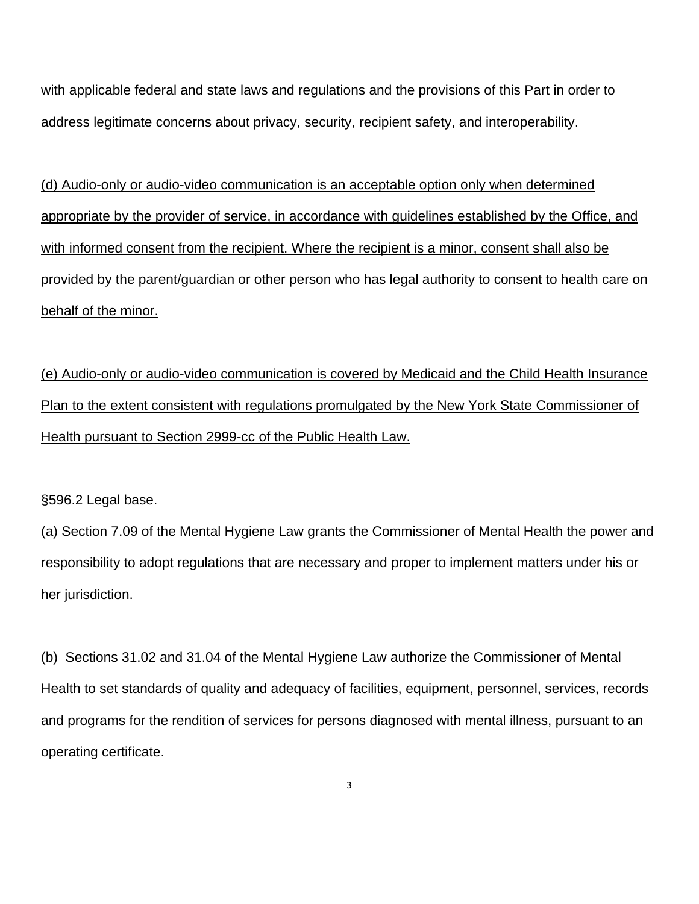with applicable federal and state laws and regulations and the provisions of this Part in order to address legitimate concerns about privacy, security, recipient safety, and interoperability.

(d) Audio-only or audio-video communication is an acceptable option only when determined appropriate by the provider of service, in accordance with guidelines established by the Office, and with informed consent from the recipient. Where the recipient is a minor, consent shall also be provided by the parent/guardian or other person who has legal authority to consent to health care on behalf of the minor.

(e) Audio-only or audio-video communication is covered by Medicaid and the Child Health Insurance Plan to the extent consistent with regulations promulgated by the New York State Commissioner of Health pursuant to Section 2999-cc of the Public Health Law.

§596.2 Legal base.

(a) Section 7.09 of the Mental Hygiene Law grants the Commissioner of Mental Health the power and responsibility to adopt regulations that are necessary and proper to implement matters under his or her jurisdiction.

(b) Sections 31.02 and 31.04 of the Mental Hygiene Law authorize the Commissioner of Mental Health to set standards of quality and adequacy of facilities, equipment, personnel, services, records and programs for the rendition of services for persons diagnosed with mental illness, pursuant to an operating certificate.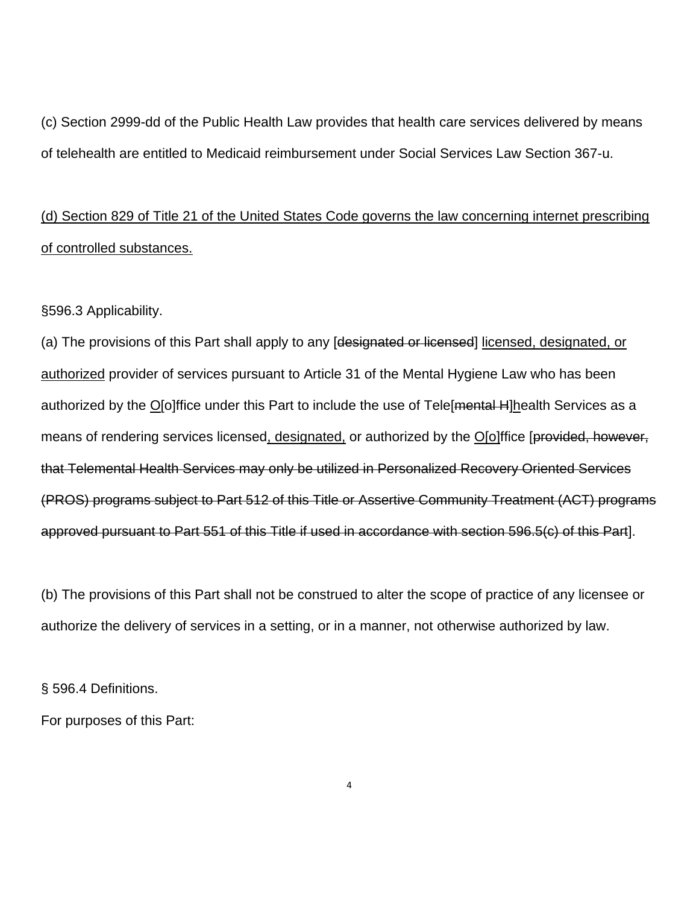(c) Section 2999-dd of the Public Health Law provides that health care services delivered by means of telehealth are entitled to Medicaid reimbursement under Social Services Law Section 367-u.

# (d) Section 829 of Title 21 of the United States Code governs the law concerning internet prescribing of controlled substances.

§596.3 Applicability.

(a) The provisions of this Part shall apply to any [designated or licensed] licensed, designated, or authorized provider of services pursuant to Article 31 of the Mental Hygiene Law who has been authorized by the O[o]ffice under this Part to include the use of Tele[mental H]health Services as a means of rendering services licensed, designated, or authorized by the O[o]ffice [provided, however, that Telemental Health Services may only be utilized in Personalized Recovery Oriented Services (PROS) programs subject to Part 512 of this Title or Assertive Community Treatment (ACT) programs approved pursuant to Part 551 of this Title if used in accordance with section 596.5(c) of this Part].

(b) The provisions of this Part shall not be construed to alter the scope of practice of any licensee or authorize the delivery of services in a setting, or in a manner, not otherwise authorized by law.

§ 596.4 Definitions.

For purposes of this Part: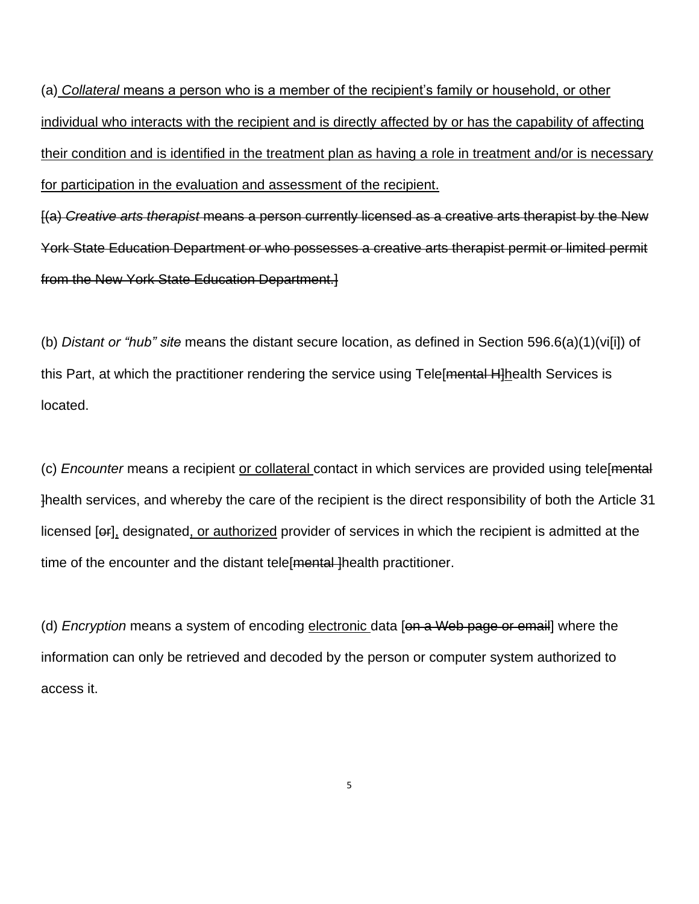(a) *Collateral* means a person who is a member of the recipient's family or household, or other individual who interacts with the recipient and is directly affected by or has the capability of affecting their condition and is identified in the treatment plan as having a role in treatment and/or is necessary for participation in the evaluation and assessment of the recipient.

[(a) *Creative arts therapist* means a person currently licensed as a creative arts therapist by the New York State Education Department or who possesses a creative arts therapist permit or limited permit from the New York State Education Department.]

(b) *Distant or "hub" site* means the distant secure location, as defined in Section 596.6(a)(1)(vi[i]) of this Part, at which the practitioner rendering the service using Tele[mental H]health Services is located.

(c) *Encounter* means a recipient or collateral contact in which services are provided using tele[mental ]health services, and whereby the care of the recipient is the direct responsibility of both the Article 31 licensed [or], designated, or authorized provider of services in which the recipient is admitted at the time of the encounter and the distant tele [mental] health practitioner.

(d) *Encryption* means a system of encoding electronic data [on a Web page or email] where the information can only be retrieved and decoded by the person or computer system authorized to access it.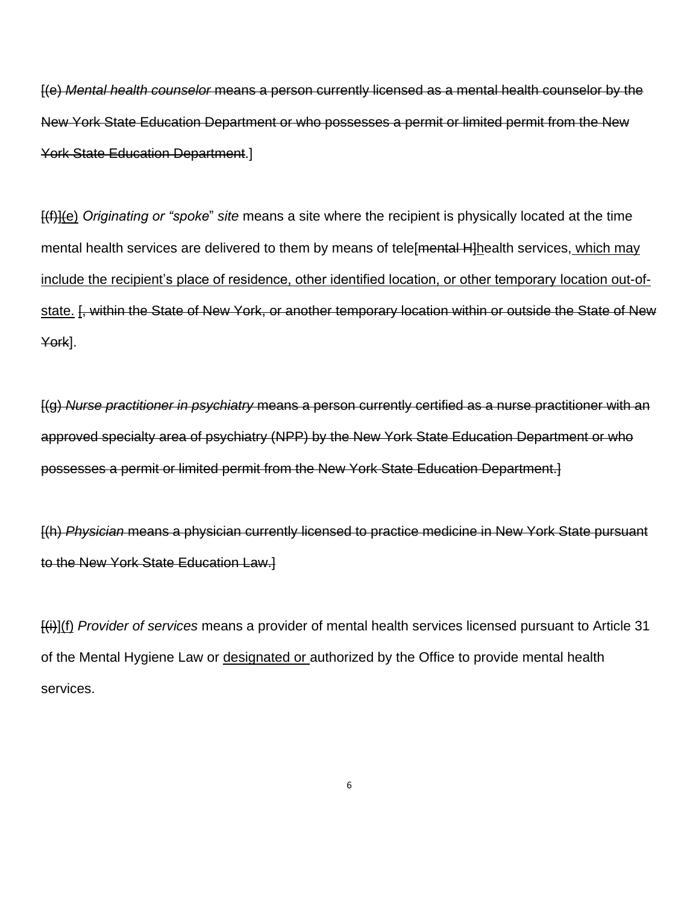[(e) *Mental health counselor* means a person currently licensed as a mental health counselor by the New York State Education Department or who possesses a permit or limited permit from the New York State Education Department.]

[(f)](e) *Originating or "spoke*" *site* means a site where the recipient is physically located at the time mental health services are delivered to them by means of tele mental H-lhealth services, which may include the recipient's place of residence, other identified location, or other temporary location out-ofstate. [, within the State of New York, or another temporary location within or outside the State of New York].

[(g) *Nurse practitioner in psychiatry* means a person currently certified as a nurse practitioner with an approved specialty area of psychiatry (NPP) by the New York State Education Department or who possesses a permit or limited permit from the New York State Education Department.]

[(h) *Physician* means a physician currently licensed to practice medicine in New York State pursuant to the New York State Education Law.]

[(i)](f) *Provider of services* means a provider of mental health services licensed pursuant to Article 31 of the Mental Hygiene Law or designated or authorized by the Office to provide mental health services.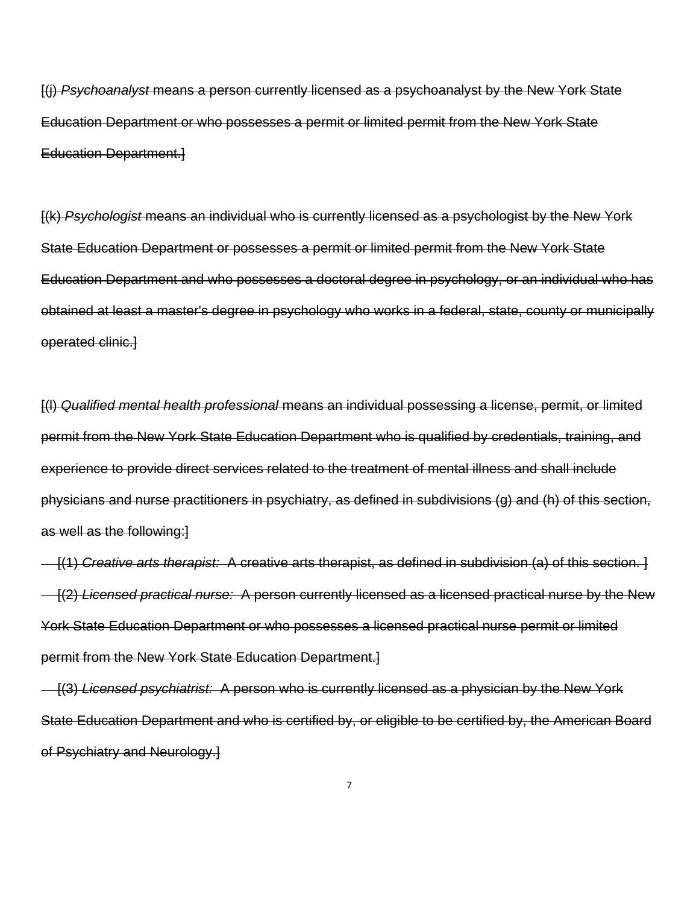[(j) *Psychoanalyst* means a person currently licensed as a psychoanalyst by the New York State Education Department or who possesses a permit or limited permit from the New York State Education Department.]

[(k) *Psychologist* means an individual who is currently licensed as a psychologist by the New York State Education Department or possesses a permit or limited permit from the New York State Education Department and who possesses a doctoral degree in psychology, or an individual who has obtained at least a master's degree in psychology who works in a federal, state, county or municipally operated clinic.]

[(l) *Qualified mental health professional* means an individual possessing a license, permit, or limited permit from the New York State Education Department who is qualified by credentials, training, and experience to provide direct services related to the treatment of mental illness and shall include physicians and nurse practitioners in psychiatry, as defined in subdivisions (g) and (h) of this section, as well as the following:]

[(1) *Creative arts therapist:* A creative arts therapist, as defined in subdivision (a) of this section. ] [(2) *Licensed practical nurse:* A person currently licensed as a licensed practical nurse by the New York State Education Department or who possesses a licensed practical nurse permit or limited permit from the New York State Education Department.]

[(3) *Licensed psychiatrist:* A person who is currently licensed as a physician by the New York State Education Department and who is certified by, or eligible to be certified by, the American Board of Psychiatry and Neurology.]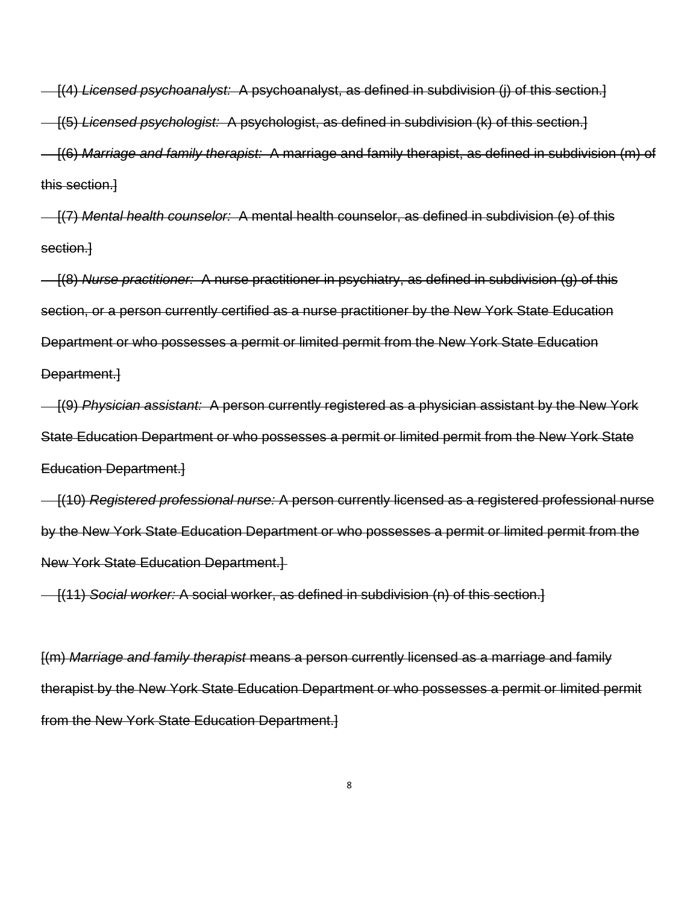[(4) *Licensed psychoanalyst:* A psychoanalyst, as defined in subdivision (j) of this section.]

[(5) *Licensed psychologist:* A psychologist, as defined in subdivision (k) of this section.]

[(6) *Marriage and family therapist:* A marriage and family therapist, as defined in subdivision (m) of this section.]

[(7) *Mental health counselor:* A mental health counselor, as defined in subdivision (e) of this section.]

[(8) *Nurse practitioner:* A nurse practitioner in psychiatry, as defined in subdivision (g) of this section, or a person currently certified as a nurse practitioner by the New York State Education Department or who possesses a permit or limited permit from the New York State Education Department.]

[(9) *Physician assistant:* A person currently registered as a physician assistant by the New York State Education Department or who possesses a permit or limited permit from the New York State Education Department.]

[(10) *Registered professional nurse:* A person currently licensed as a registered professional nurse by the New York State Education Department or who possesses a permit or limited permit from the New York State Education Department.]

[(11) *Social worker:* A social worker, as defined in subdivision (n) of this section.]

[(m) *Marriage and family therapist* means a person currently licensed as a marriage and family therapist by the New York State Education Department or who possesses a permit or limited permit from the New York State Education Department.]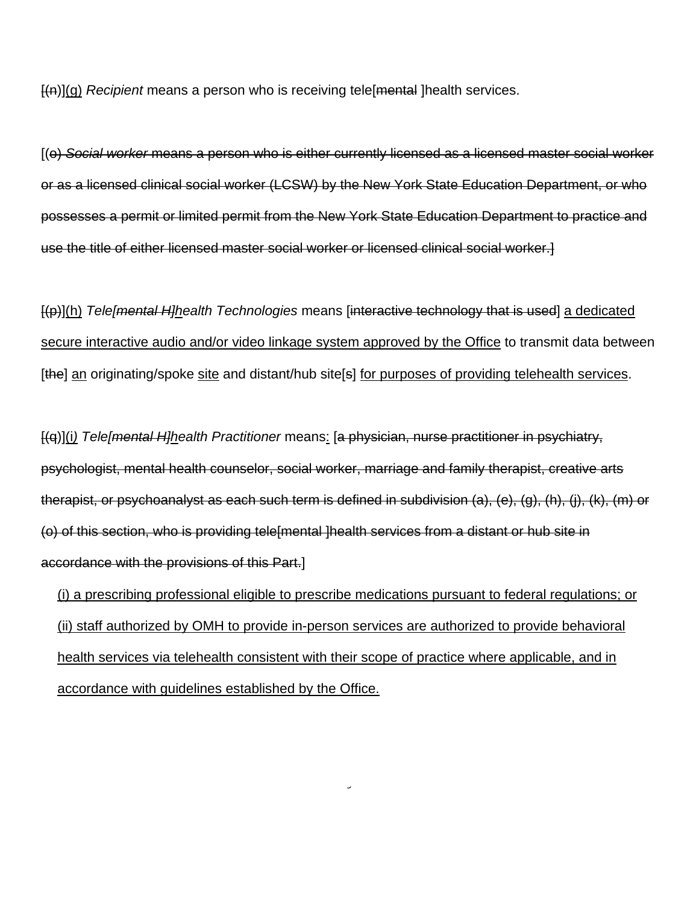[(n)](g) *Recipient* means a person who is receiving tele[mental ]health services.

[(o) *Social worker* means a person who is either currently licensed as a licensed master social worker or as a licensed clinical social worker (LCSW) by the New York State Education Department, or who possesses a permit or limited permit from the New York State Education Department to practice and use the title of either licensed master social worker or licensed clinical social worker.]

[(p)](h) *Tele[mental H]health Technologies* means [interactive technology that is used] a dedicated secure interactive audio and/or video linkage system approved by the Office to transmit data between [the] an originating/spoke site and distant/hub site[s] for purposes of providing telehealth services.

[(q)](i*) Tele[mental H]health Practitioner* means: [a physician, nurse practitioner in psychiatry, psychologist, mental health counselor, social worker, marriage and family therapist, creative arts therapist, or psychoanalyst as each such term is defined in subdivision (a), (e), (g), (h), (j), (k), (m) or (o) of this section, who is providing tele[mental ]health services from a distant or hub site in accordance with the provisions of this Part.]

(i) a prescribing professional eligible to prescribe medications pursuant to federal regulations; or (ii) staff authorized by OMH to provide in-person services are authorized to provide behavioral health services via telehealth consistent with their scope of practice where applicable, and in accordance with guidelines established by the Office.

J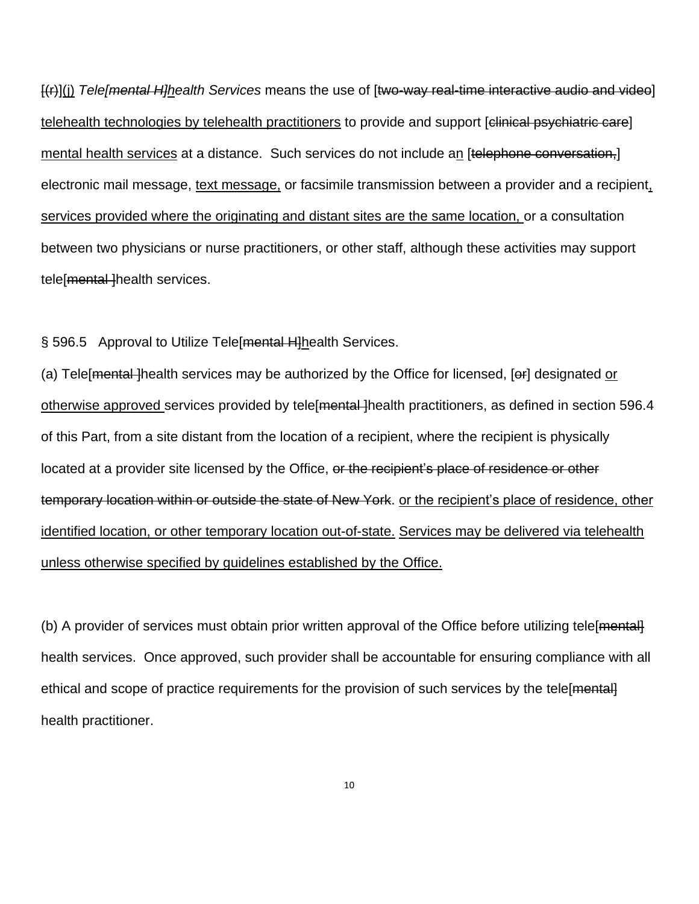[(r)](j) *Tele[mental H]health Services* means the use of [two-way real-time interactive audio and video] telehealth technologies by telehealth practitioners to provide and support [clinical psychiatric care] mental health services at a distance. Such services do not include an [telephone conversation,] electronic mail message, text message, or facsimile transmission between a provider and a recipient, services provided where the originating and distant sites are the same location, or a consultation between two physicians or nurse practitioners, or other staff, although these activities may support tele[mental-]health services.

§ 596.5 Approval to Utilize Tele[mental H]health Services.

(a) Tele [mental-]health services may be authorized by the Office for licensed, [er] designated or otherwise approved services provided by tele [mental ] health practitioners, as defined in section 596.4 of this Part, from a site distant from the location of a recipient, where the recipient is physically located at a provider site licensed by the Office, or the recipient's place of residence or other temporary location within or outside the state of New York. or the recipient's place of residence, other identified location, or other temporary location out-of-state. Services may be delivered via telehealth unless otherwise specified by guidelines established by the Office.

(b) A provider of services must obtain prior written approval of the Office before utilizing tele[mental] health services. Once approved, such provider shall be accountable for ensuring compliance with all ethical and scope of practice requirements for the provision of such services by the tele [mental] health practitioner.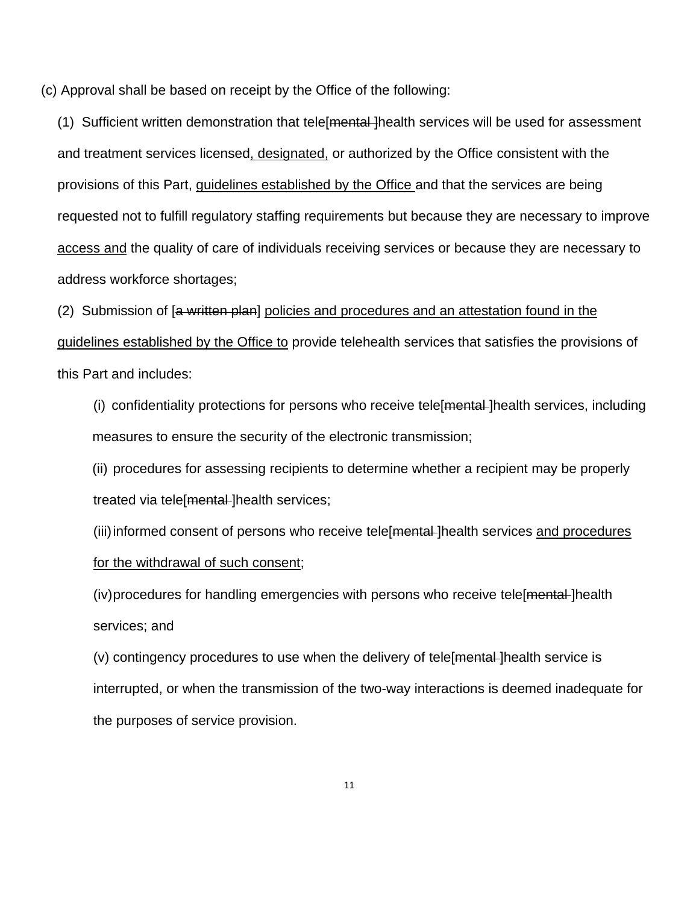(c) Approval shall be based on receipt by the Office of the following:

(1) Sufficient written demonstration that tele <del>mental ]</del> health services will be used for assessment and treatment services licensed, designated, or authorized by the Office consistent with the provisions of this Part, guidelines established by the Office and that the services are being requested not to fulfill regulatory staffing requirements but because they are necessary to improve access and the quality of care of individuals receiving services or because they are necessary to address workforce shortages;

(2) Submission of [a written plan] policies and procedures and an attestation found in the guidelines established by the Office to provide telehealth services that satisfies the provisions of this Part and includes:

(i) confidentiality protections for persons who receive tele[mental ]health services, including measures to ensure the security of the electronic transmission;

(ii) procedures for assessing recipients to determine whether a recipient may be properly treated via tele [mental] health services;

(iii) informed consent of persons who receive tele [mental-] health services and procedures for the withdrawal of such consent;

(iv) procedures for handling emergencies with persons who receive tele [mental-] health services; and

(v) contingency procedures to use when the delivery of tele[mental ]health service is interrupted, or when the transmission of the two-way interactions is deemed inadequate for the purposes of service provision.

11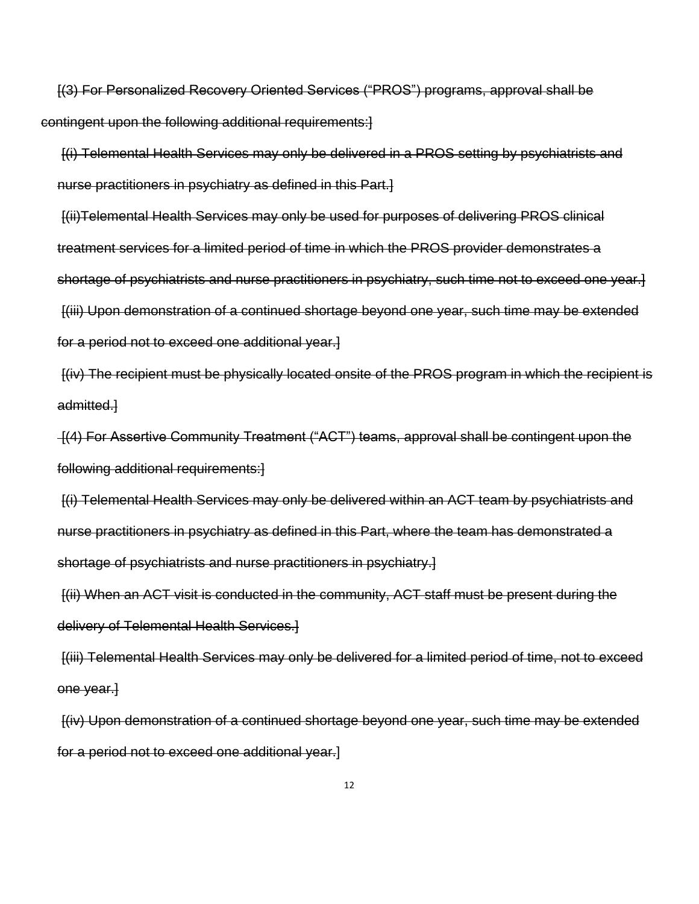[(3) For Personalized Recovery Oriented Services ("PROS") programs, approval shall be contingent upon the following additional requirements:]

[(i) Telemental Health Services may only be delivered in a PROS setting by psychiatrists and nurse practitioners in psychiatry as defined in this Part.]

[(ii)Telemental Health Services may only be used for purposes of delivering PROS clinical treatment services for a limited period of time in which the PROS provider demonstrates a shortage of psychiatrists and nurse practitioners in psychiatry, such time not to exceed one year.] [(iii) Upon demonstration of a continued shortage beyond one year, such time may be extended for a period not to exceed one additional year.]

[(iv) The recipient must be physically located onsite of the PROS program in which the recipient is admitted.]

[(4) For Assertive Community Treatment ("ACT") teams, approval shall be contingent upon the following additional requirements:]

[(i) Telemental Health Services may only be delivered within an ACT team by psychiatrists and nurse practitioners in psychiatry as defined in this Part, where the team has demonstrated a shortage of psychiatrists and nurse practitioners in psychiatry.]

[(ii) When an ACT visit is conducted in the community, ACT staff must be present during the delivery of Telemental Health Services.]

[(iii) Telemental Health Services may only be delivered for a limited period of time, not to exceed one year.]

[(iv) Upon demonstration of a continued shortage beyond one year, such time may be extended for a period not to exceed one additional year.]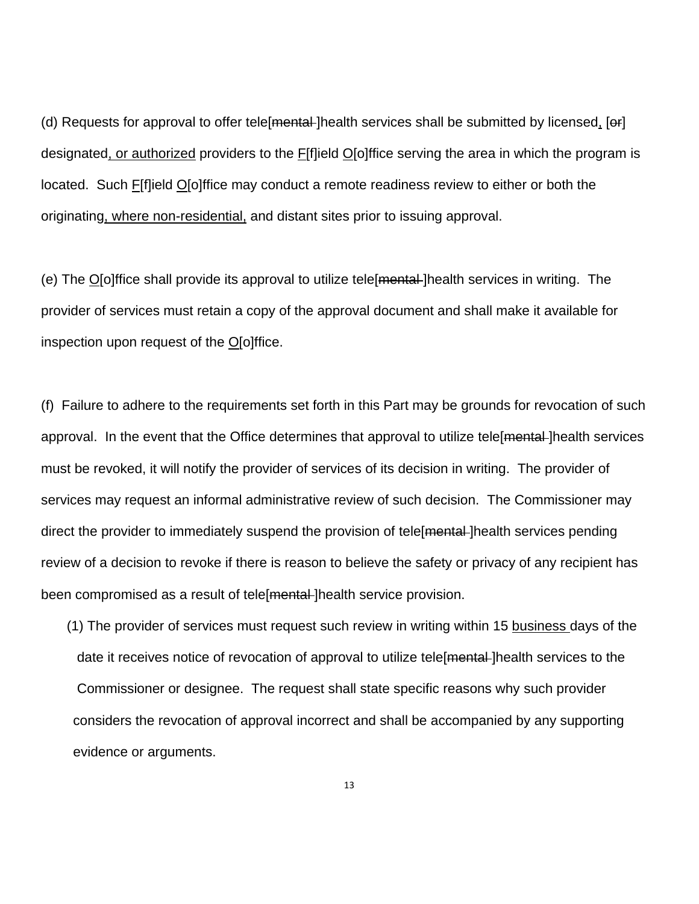(d) Requests for approval to offer tele [mental] health services shall be submitted by licensed, [er] designated, or authorized providers to the F[f]ield O[o]ffice serving the area in which the program is located. Such F[f]ield O[o]ffice may conduct a remote readiness review to either or both the originating, where non-residential, and distant sites prior to issuing approval.

(e) The O[o]ffice shall provide its approval to utilize tele[mental ]health services in writing. The provider of services must retain a copy of the approval document and shall make it available for inspection upon request of the O[o]ffice.

(f) Failure to adhere to the requirements set forth in this Part may be grounds for revocation of such approval. In the event that the Office determines that approval to utilize tele [mental] health services must be revoked, it will notify the provider of services of its decision in writing. The provider of services may request an informal administrative review of such decision. The Commissioner may direct the provider to immediately suspend the provision of tele [mental] health services pending review of a decision to revoke if there is reason to believe the safety or privacy of any recipient has been compromised as a result of tele [mental-] health service provision.

(1) The provider of services must request such review in writing within 15 business days of the date it receives notice of revocation of approval to utilize tele mental lhealth services to the Commissioner or designee. The request shall state specific reasons why such provider considers the revocation of approval incorrect and shall be accompanied by any supporting evidence or arguments.

13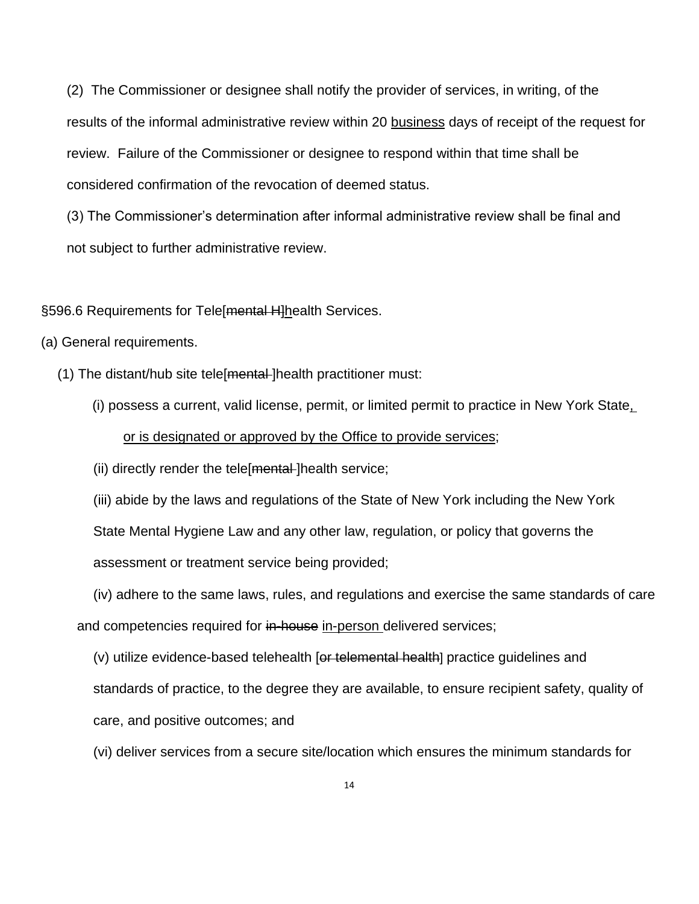(2) The Commissioner or designee shall notify the provider of services, in writing, of the results of the informal administrative review within 20 business days of receipt of the request for review. Failure of the Commissioner or designee to respond within that time shall be considered confirmation of the revocation of deemed status.

(3) The Commissioner's determination after informal administrative review shall be final and not subject to further administrative review.

§596.6 Requirements for Tele[mental H]health Services.

- (a) General requirements.
	- (1) The distant/hub site tele [mental-] health practitioner must:
		- (i) possess a current, valid license, permit, or limited permit to practice in New York State, or is designated or approved by the Office to provide services;
		- (ii) directly render the tele mental lhealth service;

(iii) abide by the laws and regulations of the State of New York including the New York State Mental Hygiene Law and any other law, regulation, or policy that governs the assessment or treatment service being provided;

(iv) adhere to the same laws, rules, and regulations and exercise the same standards of care and competencies required for in-house in-person delivered services;

 $(v)$  utilize evidence-based telehealth [or telemental health] practice guidelines and standards of practice, to the degree they are available, to ensure recipient safety, quality of care, and positive outcomes; and

(vi) deliver services from a secure site/location which ensures the minimum standards for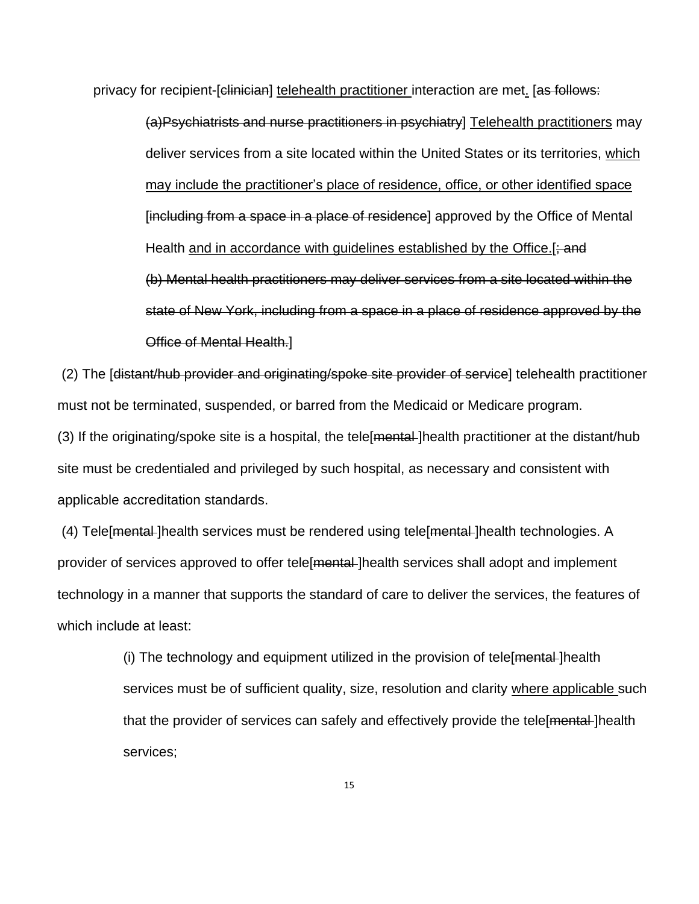privacy for recipient-[clinician] telehealth practitioner interaction are met. [as follows:

(a)Psychiatrists and nurse practitioners in psychiatry] Telehealth practitioners may deliver services from a site located within the United States or its territories, which may include the practitioner's place of residence, office, or other identified space [including from a space in a place of residence] approved by the Office of Mental Health and in accordance with quidelines established by the Office.[ $\div$ and (b) Mental health practitioners may deliver services from a site located within the state of New York, including from a space in a place of residence approved by the Office of Mental Health.]

(2) The [distant/hub provider and originating/spoke site provider of service] telehealth practitioner must not be terminated, suspended, or barred from the Medicaid or Medicare program.

(3) If the originating/spoke site is a hospital, the tele [mental] health practitioner at the distant/hub site must be credentialed and privileged by such hospital, as necessary and consistent with applicable accreditation standards.

(4) Tele [mental-]health services must be rendered using tele [mental-]health technologies. A provider of services approved to offer tele [mental] health services shall adopt and implement technology in a manner that supports the standard of care to deliver the services, the features of which include at least:

> (i) The technology and equipment utilized in the provision of tele [mental] health services must be of sufficient quality, size, resolution and clarity where applicable such that the provider of services can safely and effectively provide the tele [mental] health services;

> > 15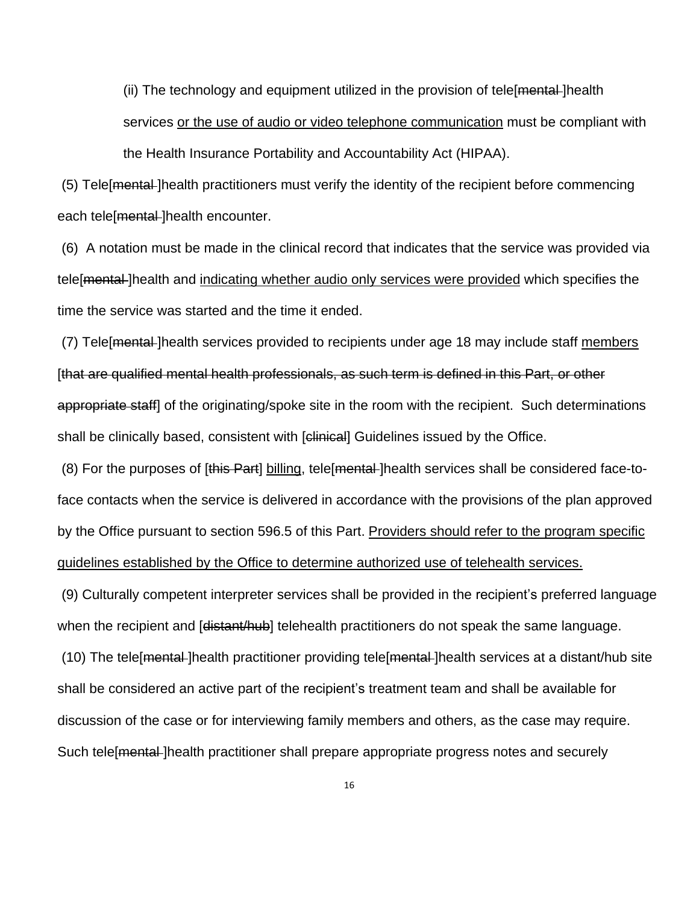(ii) The technology and equipment utilized in the provision of tele [mental-]health services or the use of audio or video telephone communication must be compliant with the Health Insurance Portability and Accountability Act (HIPAA).

(5) Tele[mental ]health practitioners must verify the identity of the recipient before commencing each tele[mental-]health encounter.

(6) A notation must be made in the clinical record that indicates that the service was provided via tele[mental ]health and indicating whether audio only services were provided which specifies the time the service was started and the time it ended.

(7) Tele[mental ]health services provided to recipients under age 18 may include staff members [that are qualified mental health professionals, as such term is defined in this Part, or other appropriate staff] of the originating/spoke site in the room with the recipient. Such determinations shall be clinically based, consistent with [clinical] Guidelines issued by the Office.

(8) For the purposes of [this Part] billing, tele[mental ]health services shall be considered face-toface contacts when the service is delivered in accordance with the provisions of the plan approved by the Office pursuant to section 596.5 of this Part. Providers should refer to the program specific guidelines established by the Office to determine authorized use of telehealth services.

(9) Culturally competent interpreter services shall be provided in the recipient's preferred language when the recipient and [distant/hub] telehealth practitioners do not speak the same language.

(10) The tele[mental ]health practitioner providing tele[mental ]health services at a distant/hub site shall be considered an active part of the recipient's treatment team and shall be available for discussion of the case or for interviewing family members and others, as the case may require. Such tele [mental] health practitioner shall prepare appropriate progress notes and securely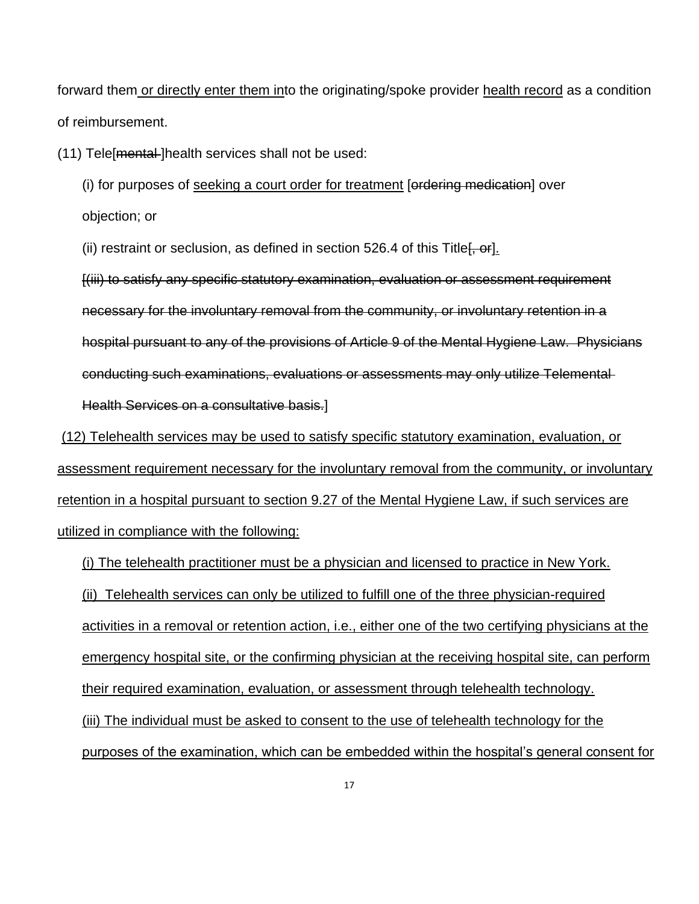forward them or directly enter them into the originating/spoke provider health record as a condition of reimbursement.

(11) Tele[mental ]health services shall not be used:

(i) for purposes of seeking a court order for treatment [ordering medication] over objection; or

(ii) restraint or seclusion, as defined in section 526.4 of this Title  $[$ ,  $\sigma r]$ .

[(iii) to satisfy any specific statutory examination, evaluation or assessment requirement necessary for the involuntary removal from the community, or involuntary retention in a hospital pursuant to any of the provisions of Article 9 of the Mental Hygiene Law. Physicians conducting such examinations, evaluations or assessments may only utilize Telemental Health Services on a consultative basis.]

(12) Telehealth services may be used to satisfy specific statutory examination, evaluation, or assessment requirement necessary for the involuntary removal from the community, or involuntary retention in a hospital pursuant to section 9.27 of the Mental Hygiene Law, if such services are utilized in compliance with the following:

(i) The telehealth practitioner must be a physician and licensed to practice in New York.

(ii) Telehealth services can only be utilized to fulfill one of the three physician-required activities in a removal or retention action, i.e., either one of the two certifying physicians at the emergency hospital site, or the confirming physician at the receiving hospital site, can perform their required examination, evaluation, or assessment through telehealth technology. (iii) The individual must be asked to consent to the use of telehealth technology for the

purposes of the examination, which can be embedded within the hospital's general consent for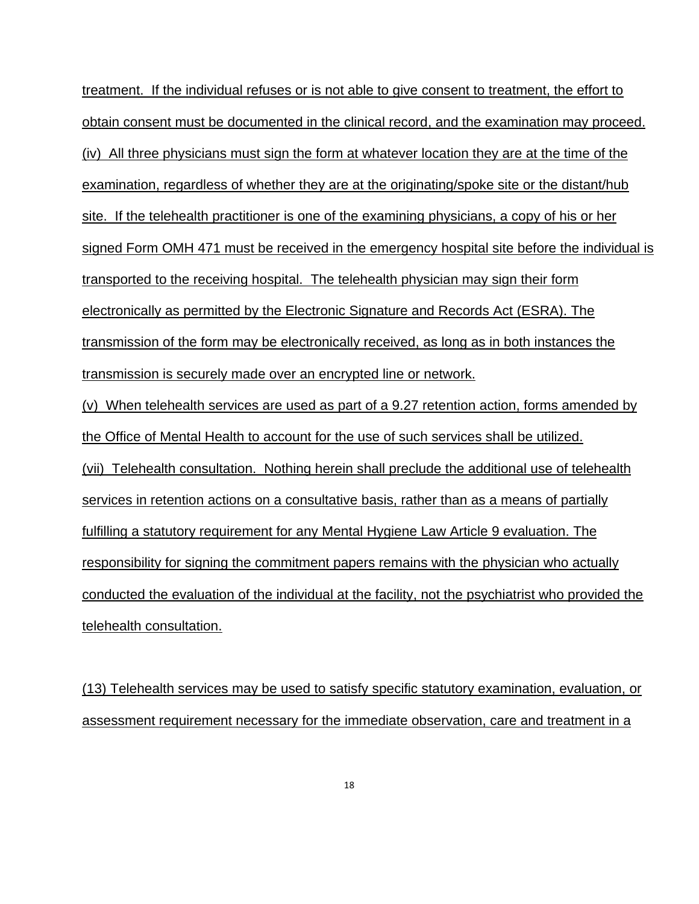treatment. If the individual refuses or is not able to give consent to treatment, the effort to obtain consent must be documented in the clinical record, and the examination may proceed. (iv) All three physicians must sign the form at whatever location they are at the time of the examination, regardless of whether they are at the originating/spoke site or the distant/hub site. If the telehealth practitioner is one of the examining physicians, a copy of his or her signed Form OMH 471 must be received in the emergency hospital site before the individual is transported to the receiving hospital. The telehealth physician may sign their form electronically as permitted by the Electronic Signature and Records Act (ESRA). The transmission of the form may be electronically received, as long as in both instances the transmission is securely made over an encrypted line or network.

(v) When telehealth services are used as part of a 9.27 retention action, forms amended by the Office of Mental Health to account for the use of such services shall be utilized. (vii) Telehealth consultation. Nothing herein shall preclude the additional use of telehealth services in retention actions on a consultative basis, rather than as a means of partially fulfilling a statutory requirement for any Mental Hygiene Law Article 9 evaluation. The responsibility for signing the commitment papers remains with the physician who actually conducted the evaluation of the individual at the facility, not the psychiatrist who provided the telehealth consultation.

(13) Telehealth services may be used to satisfy specific statutory examination, evaluation, or assessment requirement necessary for the immediate observation, care and treatment in a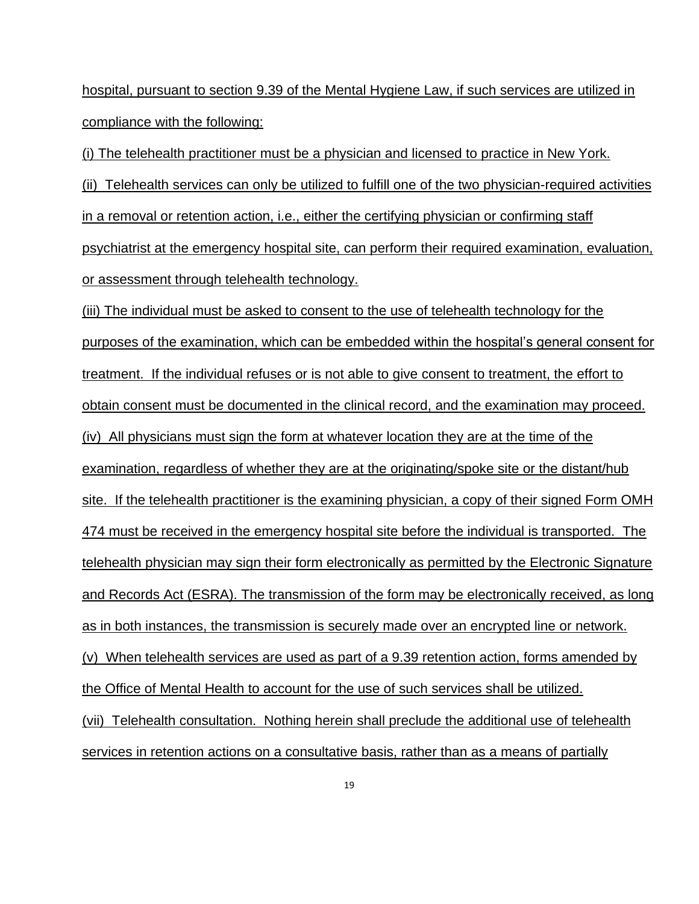hospital, pursuant to section 9.39 of the Mental Hygiene Law, if such services are utilized in compliance with the following:

(i) The telehealth practitioner must be a physician and licensed to practice in New York.

(ii) Telehealth services can only be utilized to fulfill one of the two physician-required activities in a removal or retention action, i.e., either the certifying physician or confirming staff psychiatrist at the emergency hospital site, can perform their required examination, evaluation, or assessment through telehealth technology.

(iii) The individual must be asked to consent to the use of telehealth technology for the purposes of the examination, which can be embedded within the hospital's general consent for treatment. If the individual refuses or is not able to give consent to treatment, the effort to obtain consent must be documented in the clinical record, and the examination may proceed. (iv) All physicians must sign the form at whatever location they are at the time of the examination, regardless of whether they are at the originating/spoke site or the distant/hub site. If the telehealth practitioner is the examining physician, a copy of their signed Form OMH 474 must be received in the emergency hospital site before the individual is transported. The telehealth physician may sign their form electronically as permitted by the Electronic Signature and Records Act (ESRA). The transmission of the form may be electronically received, as long as in both instances, the transmission is securely made over an encrypted line or network. (v) When telehealth services are used as part of a 9.39 retention action, forms amended by the Office of Mental Health to account for the use of such services shall be utilized. (vii) Telehealth consultation. Nothing herein shall preclude the additional use of telehealth services in retention actions on a consultative basis, rather than as a means of partially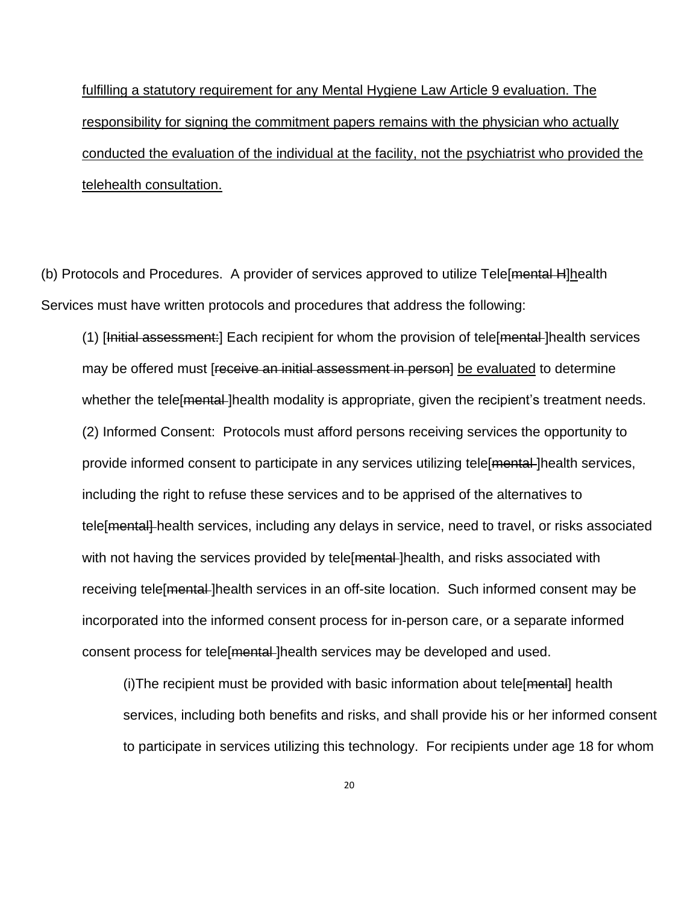fulfilling a statutory requirement for any Mental Hygiene Law Article 9 evaluation. The responsibility for signing the commitment papers remains with the physician who actually conducted the evaluation of the individual at the facility, not the psychiatrist who provided the telehealth consultation.

(b) Protocols and Procedures. A provider of services approved to utilize Tele [mental H]health Services must have written protocols and procedures that address the following:

(1) [Initial assessment:] Each recipient for whom the provision of tele[mental ]health services may be offered must [receive an initial assessment in person] be evaluated to determine whether the tele [<del>mental</del>] health modality is appropriate, given the recipient's treatment needs. (2) Informed Consent: Protocols must afford persons receiving services the opportunity to provide informed consent to participate in any services utilizing tele[mental ]health services, including the right to refuse these services and to be apprised of the alternatives to tele [mental] health services, including any delays in service, need to travel, or risks associated with not having the services provided by tele [mental] health, and risks associated with receiving tele[mental ]health services in an off-site location. Such informed consent may be incorporated into the informed consent process for in-person care, or a separate informed consent process for tele [mental] health services may be developed and used.

(i)The recipient must be provided with basic information about tele[mental] health services, including both benefits and risks, and shall provide his or her informed consent to participate in services utilizing this technology. For recipients under age 18 for whom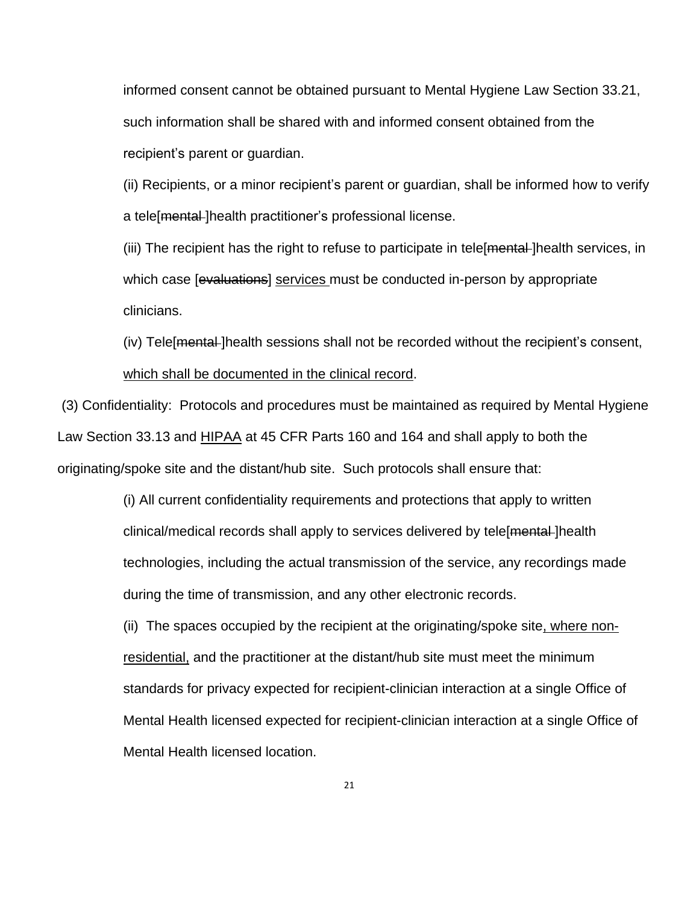informed consent cannot be obtained pursuant to Mental Hygiene Law Section 33.21, such information shall be shared with and informed consent obtained from the recipient's parent or guardian.

(ii) Recipients, or a minor recipient's parent or guardian, shall be informed how to verify a tele[mental-]health practitioner's professional license.

(iii) The recipient has the right to refuse to participate in tele [mental] health services, in which case [evaluations] services must be conducted in-person by appropriate clinicians.

(iv) Tele [mental-]health sessions shall not be recorded without the recipient's consent, which shall be documented in the clinical record.

(3) Confidentiality: Protocols and procedures must be maintained as required by Mental Hygiene Law Section 33.13 and **HIPAA** at 45 CFR Parts 160 and 164 and shall apply to both the originating/spoke site and the distant/hub site. Such protocols shall ensure that:

> (i) All current confidentiality requirements and protections that apply to written clinical/medical records shall apply to services delivered by tele[mental-]health technologies, including the actual transmission of the service, any recordings made during the time of transmission, and any other electronic records.

(ii) The spaces occupied by the recipient at the originating/spoke site, where nonresidential, and the practitioner at the distant/hub site must meet the minimum standards for privacy expected for recipient-clinician interaction at a single Office of Mental Health licensed expected for recipient-clinician interaction at a single Office of Mental Health licensed location.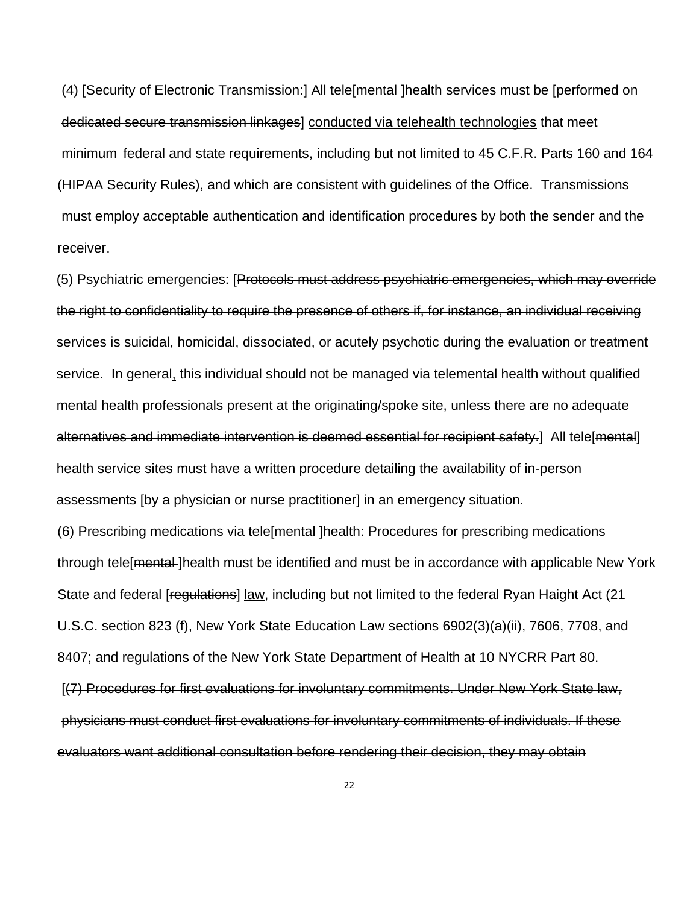(4) [Security of Electronic Transmission:] All tele[mental ]health services must be [performed on dedicated secure transmission linkages] conducted via telehealth technologies that meet minimum federal and state requirements, including but not limited to 45 C.F.R. Parts 160 and 164 (HIPAA Security Rules), and which are consistent with guidelines of the Office. Transmissions must employ acceptable authentication and identification procedures by both the sender and the receiver.

(5) Psychiatric emergencies: [Protocols must address psychiatric emergencies, which may override the right to confidentiality to require the presence of others if, for instance, an individual receiving services is suicidal, homicidal, dissociated, or acutely psychotic during the evaluation or treatment service. In general, this individual should not be managed via telemental health without qualified mental health professionals present at the originating/spoke site, unless there are no adequate alternatives and immediate intervention is deemed essential for recipient safety.] All tele[mental] health service sites must have a written procedure detailing the availability of in-person assessments [by a physician or nurse practitioner] in an emergency situation.

(6) Prescribing medications via tele[mental ]health: Procedures for prescribing medications through tele[mental ]health must be identified and must be in accordance with applicable New York State and federal [regulations] law, including but not limited to the federal Ryan Haight Act (21 U.S.C. section 823 (f), New York State Education Law sections 6902(3)(a)(ii), 7606, 7708, and 8407; and regulations of the New York State Department of Health at 10 NYCRR Part 80. [(7) Procedures for first evaluations for involuntary commitments. Under New York State law,

physicians must conduct first evaluations for involuntary commitments of individuals. If these evaluators want additional consultation before rendering their decision, they may obtain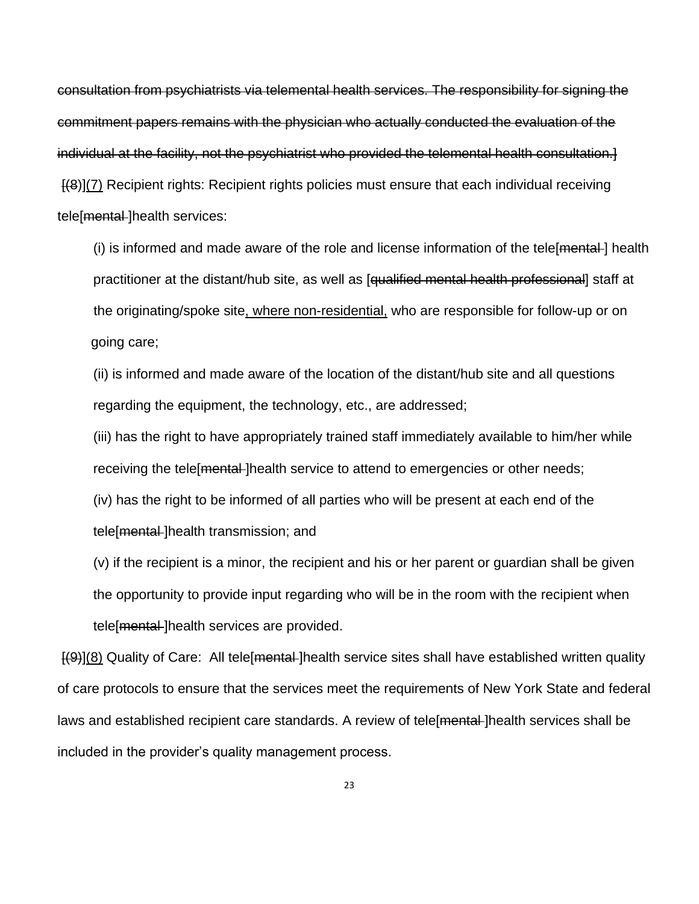consultation from psychiatrists via telemental health services. The responsibility for signing the commitment papers remains with the physician who actually conducted the evaluation of the individual at the facility, not the psychiatrist who provided the telemental health consultation.] [(8)](7) Recipient rights: Recipient rights policies must ensure that each individual receiving tele[mental-]health services:

(i) is informed and made aware of the role and license information of the tele [mental] health practitioner at the distant/hub site, as well as [<del>qualified mental health professional</del>] staff at the originating/spoke site, where non-residential, who are responsible for follow-up or on going care;

(ii) is informed and made aware of the location of the distant/hub site and all questions regarding the equipment, the technology, etc., are addressed;

(iii) has the right to have appropriately trained staff immediately available to him/her while receiving the tele [mental] health service to attend to emergencies or other needs;

(iv) has the right to be informed of all parties who will be present at each end of the tele[mental ]health transmission; and

(v) if the recipient is a minor, the recipient and his or her parent or guardian shall be given the opportunity to provide input regarding who will be in the room with the recipient when tele[<del>mental</del>]health services are provided.

 $[(9)](8)$  Quality of Care: All tele [mental-] health service sites shall have established written quality of care protocols to ensure that the services meet the requirements of New York State and federal laws and established recipient care standards. A review of tele mental lhealth services shall be included in the provider's quality management process.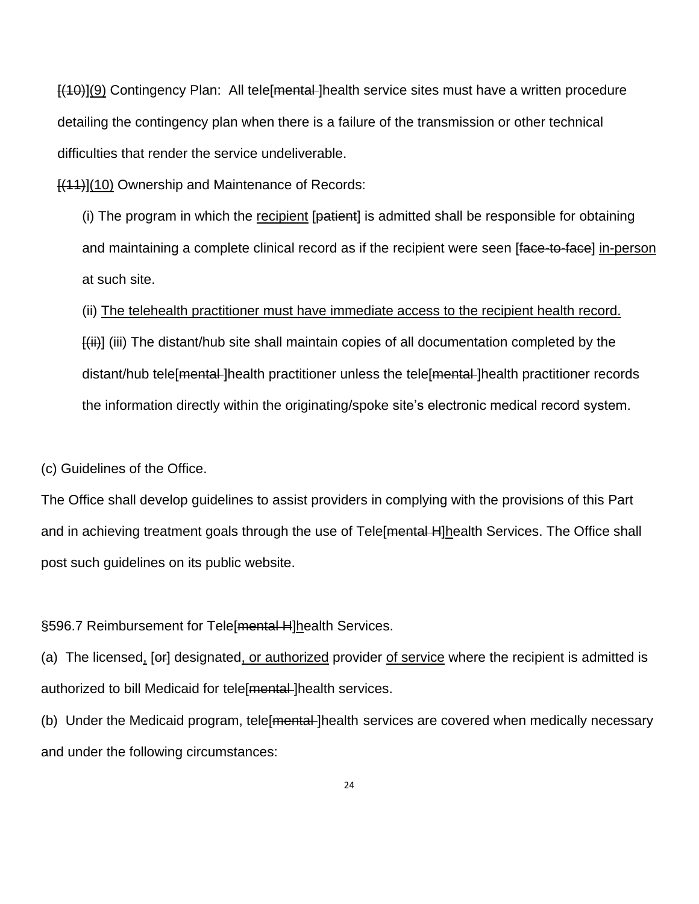$[(10)][9]$  Contingency Plan: All tele [mental] health service sites must have a written procedure detailing the contingency plan when there is a failure of the transmission or other technical difficulties that render the service undeliverable.

 $[(11)](10)$  Ownership and Maintenance of Records:

(i) The program in which the recipient [patient] is admitted shall be responsible for obtaining and maintaining a complete clinical record as if the recipient were seen [face-to-face] in-person at such site.

(ii) The telehealth practitioner must have immediate access to the recipient health record.

 $\left[\left\langle ii\right\rangle\right]$  (iii) The distant/hub site shall maintain copies of all documentation completed by the distant/hub tele[mental ]health practitioner unless the tele[mental ]health practitioner records the information directly within the originating/spoke site's electronic medical record system.

(c) Guidelines of the Office.

The Office shall develop guidelines to assist providers in complying with the provisions of this Part and in achieving treatment goals through the use of Tele[mental H]health Services. The Office shall post such guidelines on its public website.

§596.7 Reimbursement for Tele[<del>mental H</del>]health Services.

(a) The licensed, [er] designated, or authorized provider of service where the recipient is admitted is authorized to bill Medicaid for tele [mental-]health services.

(b) Under the Medicaid program, tele [mental] health services are covered when medically necessary and under the following circumstances: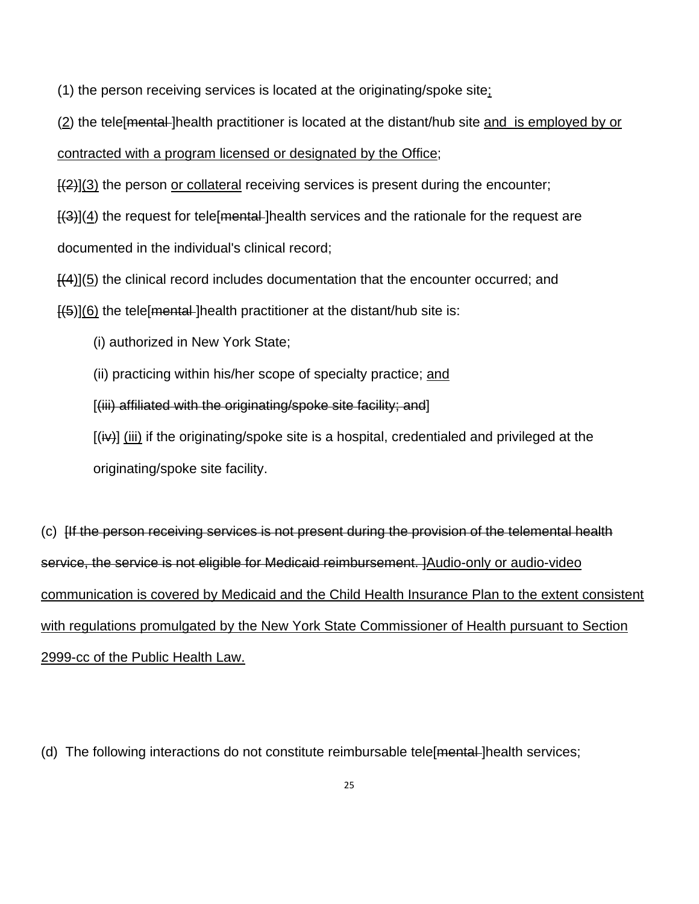(1) the person receiving services is located at the originating/spoke site;

(2) the tele[mental ]health practitioner is located at the distant/hub site and is employed by or

contracted with a program licensed or designated by the Office;

 $\left[\frac{1}{2}\right]$ (3) the person or collateral receiving services is present during the encounter;

 $\left[\frac{1}{3}\right]$ (4) the request for tele [mental-] health services and the rationale for the request are documented in the individual's clinical record;

 $\{4\}$ (5) the clinical record includes documentation that the encounter occurred; and

 $\left[45\right]$ (6) the tele mental lhealth practitioner at the distant/hub site is:

(i) authorized in New York State;

(ii) practicing within his/her scope of specialty practice; and

[(iii) affiliated with the originating/spoke site facility; and]

 $[(iv)]$  (iii) if the originating/spoke site is a hospital, credentialed and privileged at the originating/spoke site facility.

(c) [If the person receiving services is not present during the provision of the telemental health service, the service is not eligible for Medicaid reimbursement. ]Audio-only or audio-video communication is covered by Medicaid and the Child Health Insurance Plan to the extent consistent with regulations promulgated by the New York State Commissioner of Health pursuant to Section 2999-cc of the Public Health Law.

(d) The following interactions do not constitute reimbursable tele [mental] health services;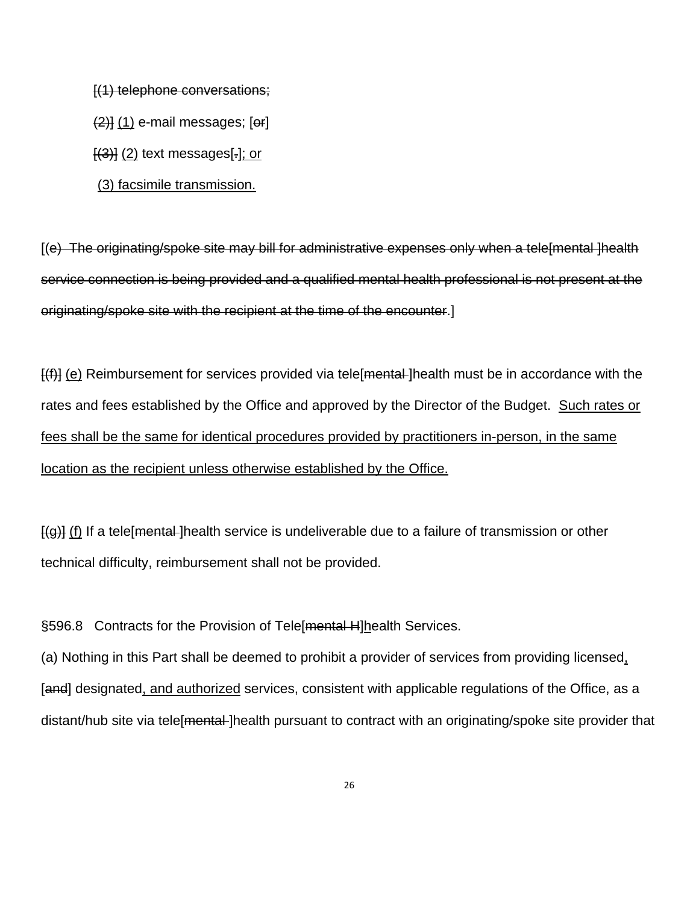[(1) telephone conversations;

 $(2)$ ] (1) e-mail messages; [or]

 $[$ (3) $]$  (2) text messages[ $.]$ ; or

(3) facsimile transmission.

[(e) The originating/spoke site may bill for administrative expenses only when a tele[mental ]health service connection is being provided and a qualified mental health professional is not present at the originating/spoke site with the recipient at the time of the encounter.]

 $\left[\left\langle f\right|\right]$  (e) Reimbursement for services provided via tele mental-lhealth must be in accordance with the rates and fees established by the Office and approved by the Director of the Budget. Such rates or fees shall be the same for identical procedures provided by practitioners in-person, in the same location as the recipient unless otherwise established by the Office.

 $[(g)]$  (f) If a tele mental lhealth service is undeliverable due to a failure of transmission or other technical difficulty, reimbursement shall not be provided.

§596.8 Contracts for the Provision of Tele[mental H]health Services.

(a) Nothing in this Part shall be deemed to prohibit a provider of services from providing licensed, [and] designated, and authorized services, consistent with applicable regulations of the Office, as a distant/hub site via tele [mental] health pursuant to contract with an originating/spoke site provider that